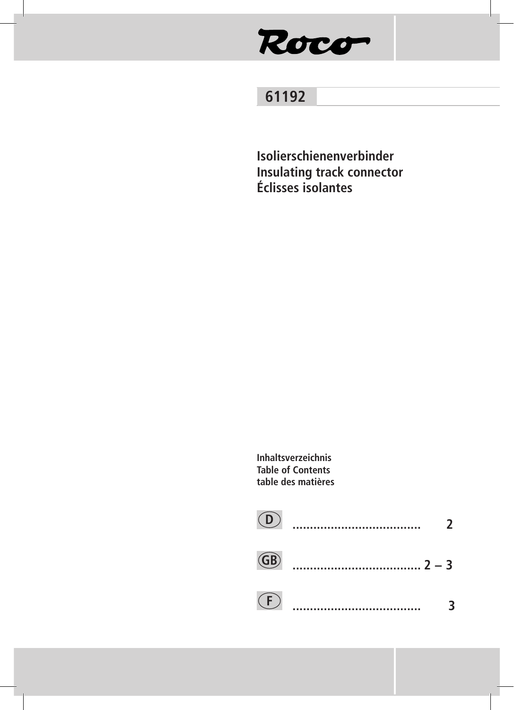# Roco

## 61192

Isolierschienenverbinder **Insulating track connector** Éclisses isolantes

Inhaltsverzeichnis **Table of Contents** table des matières

| (D)            | <br>, |
|----------------|-------|
| $\binom{GB}{}$ |       |
| (F)            |       |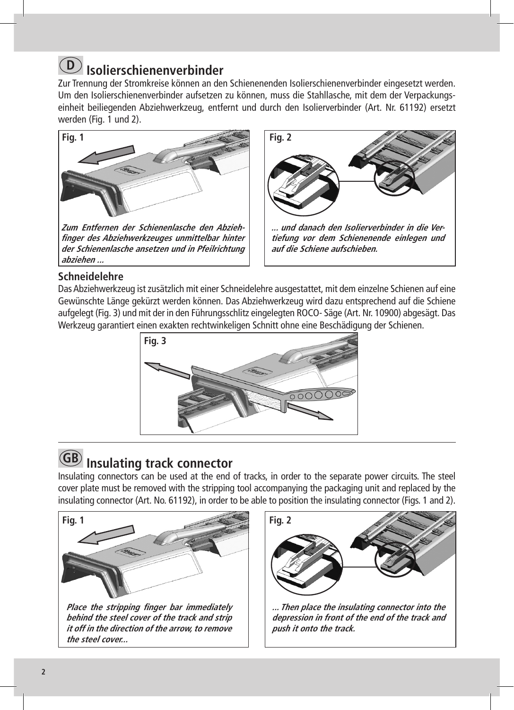## **Isolierschienenverbinder D**

Zur Trennung der Stromkreise können an den Schienenenden Isolierschienenverbinder eingesetzt werden. Um den Isolierschienenverbinder aufsetzen zu können, muss die Stahllasche, mit dem der Verpackungseinheit beiliegenden Abziehwerkzeug, entfernt und durch den Isolierverbinder (Art. Nr. 61192) ersetzt werden (Fig. 1 und 2).



**der Schienenlasche ansetzen und in Pfeilrichtung abziehen ...** 



### **Schneidelehre**

Das Abziehwerkzeug ist zusätzlich mit einer Schneidelehre ausgestattet, mit dem einzelne Schienen auf eine Gewünschte Länge gekürzt werden können. Das Abziehwerkzeug wird dazu entsprechend auf die Schiene aufgelegt (Fig. 3) und mit der in den Führungsschlitz eingelegten ROCO- Säge (Art. Nr. 10900) abgesägt. Das Werkzeug garantiert einen exakten rechtwinkeligen Schnitt ohne eine Beschädigung der Schienen.



## **Insulating track connector GB**

Insulating connectors can be used at the end of tracks, in order to the separate power circuits. The steel cover plate must be removed with the stripping tool accompanying the packaging unit and replaced by the insulating connector (Art. No. 61192), in order to be able to position the insulating connector (Figs. 1 and 2).





**... Then place the insulating connector into the depression in front of the end of the track and push it onto the track.**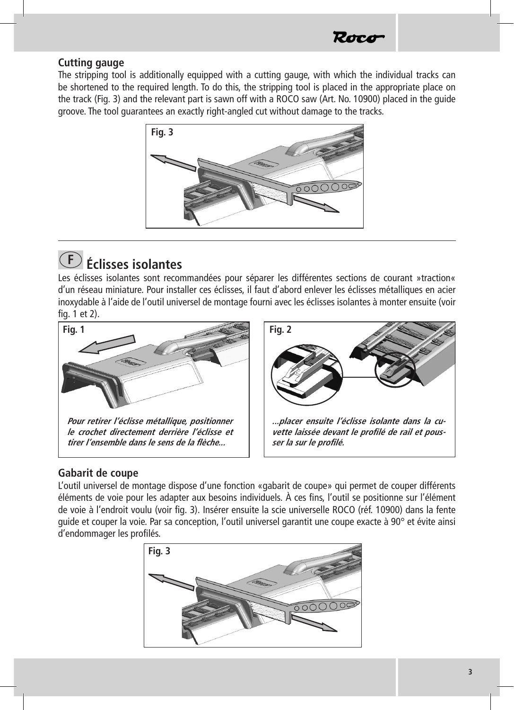

#### **Cutting gauge**

The stripping tool is additionally equipped with a cutting gauge, with which the individual tracks can be shortened to the required length. To do this, the stripping tool is placed in the appropriate place on the track (Fig. 3) and the relevant part is sawn off with a ROCO saw (Art. No. 10900) placed in the guide groove. The tool guarantees an exactly right-angled cut without damage to the tracks.



# **Éclisses isolantes F**

Les éclisses isolantes sont recommandées pour séparer les différentes sections de courant »traction« d'un réseau miniature. Pour installer ces éclisses, il faut d'abord enlever les éclisses métalliques en acier inoxydable à l'aide de l'outil universel de montage fourni avec les éclisses isolantes à monter ensuite (voir fig. 1 et 2).



#### **Gabarit de coupe**

L'outil universel de montage dispose d'une fonction «gabarit de coupe» qui permet de couper différents éléments de voie pour les adapter aux besoins individuels. À ces fins, l'outil se positionne sur l'élément de voie à l'endroit voulu (voir fig. 3). Insérer ensuite la scie universelle ROCO (réf. 10900) dans la fente guide et couper la voie. Par sa conception, l'outil universel garantit une coupe exacte à 90° et évite ainsi d'endommager les profilés.